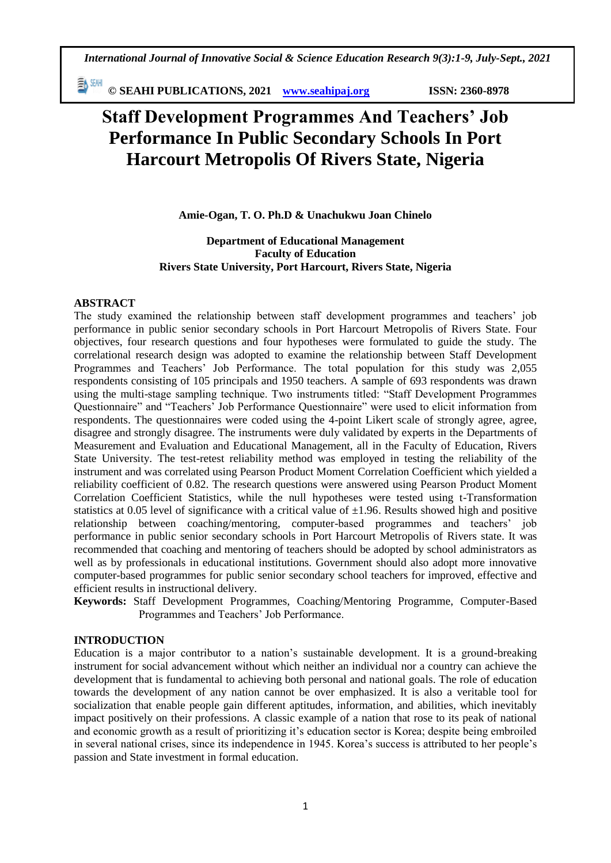動腳 **© SEAHI PUBLICATIONS, 2021 [www.seahipaj.org](http://www.seahipaj.org/) ISSN: 2360-8978**

# **Staff Development Programmes And Teachers' Job Performance In Public Secondary Schools In Port Harcourt Metropolis Of Rivers State, Nigeria**

**Amie-Ogan, T. O. Ph.D & Unachukwu Joan Chinelo**

**Department of Educational Management Faculty of Education Rivers State University, Port Harcourt, Rivers State, Nigeria**

## **ABSTRACT**

The study examined the relationship between staff development programmes and teachers' job performance in public senior secondary schools in Port Harcourt Metropolis of Rivers State. Four objectives, four research questions and four hypotheses were formulated to guide the study. The correlational research design was adopted to examine the relationship between Staff Development Programmes and Teachers' Job Performance. The total population for this study was 2,055 respondents consisting of 105 principals and 1950 teachers. A sample of 693 respondents was drawn using the multi-stage sampling technique. Two instruments titled: "Staff Development Programmes Questionnaire" and "Teachers' Job Performance Questionnaire" were used to elicit information from respondents. The questionnaires were coded using the 4-point Likert scale of strongly agree, agree, disagree and strongly disagree. The instruments were duly validated by experts in the Departments of Measurement and Evaluation and Educational Management, all in the Faculty of Education, Rivers State University. The test-retest reliability method was employed in testing the reliability of the instrument and was correlated using Pearson Product Moment Correlation Coefficient which yielded a reliability coefficient of 0.82. The research questions were answered using Pearson Product Moment Correlation Coefficient Statistics, while the null hypotheses were tested using t-Transformation statistics at 0.05 level of significance with a critical value of  $\pm 1.96$ . Results showed high and positive relationship between coaching/mentoring, computer-based programmes and teachers' job performance in public senior secondary schools in Port Harcourt Metropolis of Rivers state. It was recommended that coaching and mentoring of teachers should be adopted by school administrators as well as by professionals in educational institutions. Government should also adopt more innovative computer-based programmes for public senior secondary school teachers for improved, effective and efficient results in instructional delivery.

**Keywords:** Staff Development Programmes, Coaching/Mentoring Programme, Computer-Based Programmes and Teachers' Job Performance.

#### **INTRODUCTION**

Education is a major contributor to a nation's sustainable development. It is a ground-breaking instrument for social advancement without which neither an individual nor a country can achieve the development that is fundamental to achieving both personal and national goals. The role of education towards the development of any nation cannot be over emphasized. It is also a veritable tool for socialization that enable people gain different aptitudes, information, and abilities, which inevitably impact positively on their professions. A classic example of a nation that rose to its peak of national and economic growth as a result of prioritizing it's education sector is Korea; despite being embroiled in several national crises, since its independence in 1945. Korea's success is attributed to her people's passion and State investment in formal education.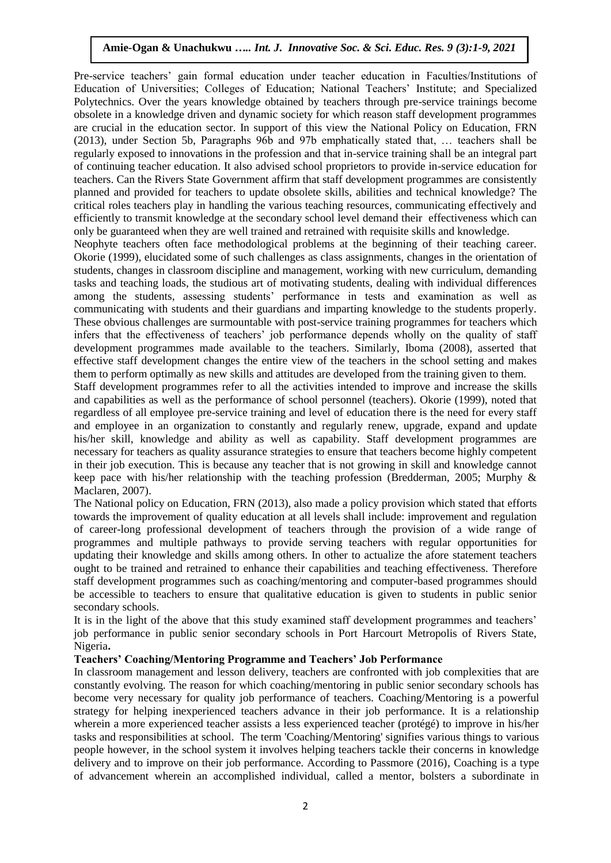Pre-service teachers' gain formal education under teacher education in Faculties/Institutions of Education of Universities; Colleges of Education; National Teachers' Institute; and Specialized Polytechnics. Over the years knowledge obtained by teachers through pre-service trainings become obsolete in a knowledge driven and dynamic society for which reason staff development programmes are crucial in the education sector. In support of this view the National Policy on Education, FRN (2013), under Section 5b, Paragraphs 96b and 97b emphatically stated that, … teachers shall be regularly exposed to innovations in the profession and that in-service training shall be an integral part of continuing teacher education. It also advised school proprietors to provide in-service education for teachers. Can the Rivers State Government affirm that staff development programmes are consistently planned and provided for teachers to update obsolete skills, abilities and technical knowledge? The critical roles teachers play in handling the various teaching resources, communicating effectively and efficiently to transmit knowledge at the secondary school level demand their effectiveness which can only be guaranteed when they are well trained and retrained with requisite skills and knowledge.

Neophyte teachers often face methodological problems at the beginning of their teaching career. Okorie (1999), elucidated some of such challenges as class assignments, changes in the orientation of students, changes in classroom discipline and management, working with new curriculum, demanding tasks and teaching loads, the studious art of motivating students, dealing with individual differences among the students, assessing students' performance in tests and examination as well as communicating with students and their guardians and imparting knowledge to the students properly. These obvious challenges are surmountable with post-service training programmes for teachers which infers that the effectiveness of teachers' job performance depends wholly on the quality of staff development programmes made available to the teachers. Similarly, Iboma (2008), asserted that effective staff development changes the entire view of the teachers in the school setting and makes them to perform optimally as new skills and attitudes are developed from the training given to them.

Staff development programmes refer to all the activities intended to improve and increase the skills and capabilities as well as the performance of school personnel (teachers). Okorie (1999), noted that regardless of all employee pre-service training and level of education there is the need for every staff and employee in an organization to constantly and regularly renew, upgrade, expand and update his/her skill, knowledge and ability as well as capability. Staff development programmes are necessary for teachers as quality assurance strategies to ensure that teachers become highly competent in their job execution. This is because any teacher that is not growing in skill and knowledge cannot keep pace with his/her relationship with the teaching profession (Bredderman, 2005; Murphy & Maclaren, 2007).

The National policy on Education, FRN (2013), also made a policy provision which stated that efforts towards the improvement of quality education at all levels shall include: improvement and regulation of career-long professional development of teachers through the provision of a wide range of programmes and multiple pathways to provide serving teachers with regular opportunities for updating their knowledge and skills among others. In other to actualize the afore statement teachers ought to be trained and retrained to enhance their capabilities and teaching effectiveness. Therefore staff development programmes such as coaching/mentoring and computer-based programmes should be accessible to teachers to ensure that qualitative education is given to students in public senior secondary schools.

It is in the light of the above that this study examined staff development programmes and teachers' job performance in public senior secondary schools in Port Harcourt Metropolis of Rivers State, Nigeria**.**

## **Teachers' Coaching/Mentoring Programme and Teachers' Job Performance**

In classroom management and lesson delivery, teachers are confronted with job complexities that are constantly evolving. The reason for which coaching/mentoring in public senior secondary schools has become very necessary for quality job performance of teachers. Coaching/Mentoring is a powerful strategy for helping inexperienced teachers advance in their job performance. It is a relationship wherein a more experienced teacher assists a less experienced teacher (protégé) to improve in his/her tasks and responsibilities at school. The term 'Coaching/Mentoring' signifies various things to various people however, in the school system it involves helping teachers tackle their concerns in knowledge delivery and to improve on their job performance. According to Passmore (2016), Coaching is a type of advancement wherein an accomplished individual, called a mentor, bolsters a subordinate in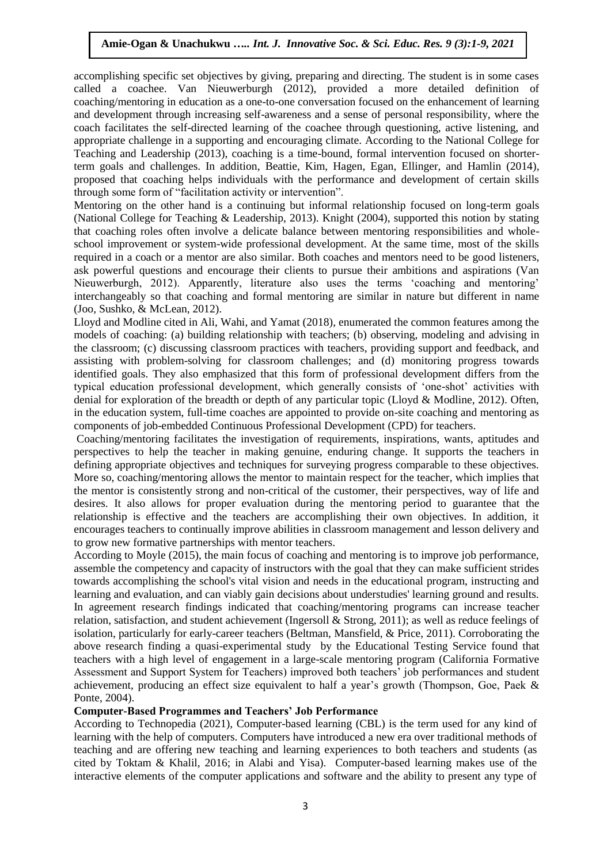accomplishing specific set objectives by giving, preparing and directing. The student is in some cases called a coachee. Van Nieuwerburgh (2012), provided a more detailed definition of coaching/mentoring in education as a one-to-one conversation focused on the enhancement of learning and development through increasing self-awareness and a sense of personal responsibility, where the coach facilitates the self-directed learning of the coachee through questioning, active listening, and appropriate challenge in a supporting and encouraging climate. According to the National College for Teaching and Leadership (2013), coaching is a time-bound, formal intervention focused on shorterterm goals and challenges. In addition, Beattie, Kim, Hagen, Egan, Ellinger, and Hamlin (2014), proposed that coaching helps individuals with the performance and development of certain skills through some form of "facilitation activity or intervention".

Mentoring on the other hand is a continuing but informal relationship focused on long-term goals (National College for Teaching & Leadership, 2013). Knight (2004), supported this notion by stating that coaching roles often involve a delicate balance between mentoring responsibilities and wholeschool improvement or system-wide professional development. At the same time, most of the skills required in a coach or a mentor are also similar. Both coaches and mentors need to be good listeners, ask powerful questions and encourage their clients to pursue their ambitions and aspirations (Van Nieuwerburgh, 2012). Apparently, literature also uses the terms 'coaching and mentoring' interchangeably so that coaching and formal mentoring are similar in nature but different in name (Joo, Sushko, & McLean, 2012).

Lloyd and Modline cited in Ali, Wahi, and Yamat (2018), enumerated the common features among the models of coaching: (a) building relationship with teachers; (b) observing, modeling and advising in the classroom; (c) discussing classroom practices with teachers, providing support and feedback, and assisting with problem-solving for classroom challenges; and (d) monitoring progress towards identified goals. They also emphasized that this form of professional development differs from the typical education professional development, which generally consists of 'one-shot' activities with denial for exploration of the breadth or depth of any particular topic (Lloyd & Modline, 2012). Often, in the education system, full-time coaches are appointed to provide on-site coaching and mentoring as components of job-embedded Continuous Professional Development (CPD) for teachers.

Coaching/mentoring facilitates the investigation of requirements, inspirations, wants, aptitudes and perspectives to help the teacher in making genuine, enduring change. It supports the teachers in defining appropriate objectives and techniques for surveying progress comparable to these objectives. More so, coaching/mentoring allows the mentor to maintain respect for the teacher, which implies that the mentor is consistently strong and non-critical of the customer, their perspectives, way of life and desires. It also allows for proper evaluation during the mentoring period to guarantee that the relationship is effective and the teachers are accomplishing their own objectives. In addition, it encourages teachers to continually improve abilities in classroom management and lesson delivery and to grow new formative partnerships with mentor teachers.

According to Moyle (2015), the main focus of coaching and mentoring is to improve job performance, assemble the competency and capacity of instructors with the goal that they can make sufficient strides towards accomplishing the school's vital vision and needs in the educational program, instructing and learning and evaluation, and can viably gain decisions about understudies' learning ground and results. In agreement research findings indicated that coaching/mentoring programs can increase teacher relation, satisfaction, and student achievement (Ingersoll & Strong, 2011); as well as reduce feelings of isolation, particularly for early-career teachers (Beltman, Mansfield, & Price, 2011). Corroborating the above research finding a quasi-experimental study by the Educational Testing Service found that teachers with a high level of engagement in a large-scale mentoring program (California Formative Assessment and Support System for Teachers) improved both teachers' job performances and student achievement, producing an effect size equivalent to half a year's growth (Thompson, Goe, Paek & Ponte, 2004).

## **Computer-Based Programmes and Teachers' Job Performance**

According to Technopedia (2021), Computer-based learning (CBL) is the term used for any kind of learning with the help of computers. Computers have introduced a new era over traditional methods of teaching and are offering new teaching and learning experiences to both teachers and students (as cited by Toktam & Khalil, 2016; in Alabi and Yisa). Computer-based learning makes use of the interactive elements of the computer applications and software and the ability to present any type of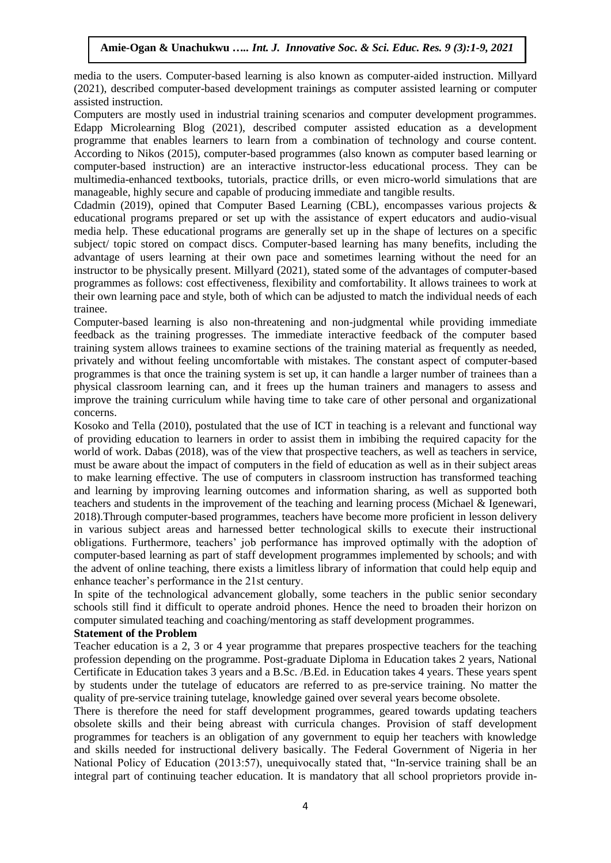media to the users. Computer-based learning is also known as computer-aided instruction. Millyard (2021), described computer-based development trainings as computer assisted learning or computer assisted instruction.

Computers are mostly used in industrial training scenarios and computer development programmes. Edapp Microlearning Blog (2021), described computer assisted education as a development programme that enables learners to learn from a combination of technology and course content. According to Nikos (2015), computer-based programmes (also known as computer based learning or computer-based instruction) are an interactive instructor-less educational process. They can be multimedia-enhanced textbooks, tutorials, practice drills, or even micro-world simulations that are manageable, highly secure and capable of producing immediate and tangible results.

Cdadmin (2019), opined that Computer Based Learning (CBL), encompasses various projects & educational programs prepared or set up with the assistance of expert educators and audio-visual media help. These educational programs are generally set up in the shape of lectures on a specific subject/ topic stored on compact discs. Computer-based learning has many benefits, including the advantage of users learning at their own pace and sometimes learning without the need for an instructor to be physically present. Millyard (2021), stated some of the advantages of computer-based programmes as follows: cost effectiveness, flexibility and comfortability. It allows trainees to work at their own learning pace and style, both of which can be adjusted to match the individual needs of each trainee.

Computer-based learning is also non-threatening and non-judgmental while providing immediate feedback as the training progresses. The immediate interactive feedback of the computer based training system allows trainees to examine sections of the training material as frequently as needed, privately and without feeling uncomfortable with mistakes. The constant aspect of computer-based programmes is that once the training system is set up, it can handle a larger number of trainees than a physical classroom learning can, and it frees up the human trainers and managers to assess and improve the training curriculum while having time to take care of other personal and organizational concerns.

Kosoko and Tella (2010), postulated that the use of ICT in teaching is a relevant and functional way of providing education to learners in order to assist them in imbibing the required capacity for the world of work. Dabas (2018), was of the view that prospective teachers, as well as teachers in service, must be aware about the impact of computers in the field of education as well as in their subject areas to make learning effective. The use of computers in classroom instruction has transformed teaching and learning by improving learning outcomes and information sharing, as well as supported both teachers and students in the improvement of the teaching and learning process (Michael & Igenewari, 2018).Through computer-based programmes, teachers have become more proficient in lesson delivery in various subject areas and harnessed better technological skills to execute their instructional obligations. Furthermore, teachers' job performance has improved optimally with the adoption of computer-based learning as part of staff development programmes implemented by schools; and with the advent of online teaching, there exists a limitless library of information that could help equip and enhance teacher's performance in the 21st century.

In spite of the technological advancement globally, some teachers in the public senior secondary schools still find it difficult to operate android phones. Hence the need to broaden their horizon on computer simulated teaching and coaching/mentoring as staff development programmes.

## **Statement of the Problem**

Teacher education is a 2, 3 or 4 year programme that prepares prospective teachers for the teaching profession depending on the programme. Post-graduate Diploma in Education takes 2 years, National Certificate in Education takes 3 years and a B.Sc. /B.Ed. in Education takes 4 years. These years spent by students under the tutelage of educators are referred to as pre-service training. No matter the quality of pre-service training tutelage, knowledge gained over several years become obsolete.

There is therefore the need for staff development programmes, geared towards updating teachers obsolete skills and their being abreast with curricula changes. Provision of staff development programmes for teachers is an obligation of any government to equip her teachers with knowledge and skills needed for instructional delivery basically. The Federal Government of Nigeria in her National Policy of Education (2013:57), unequivocally stated that, "In-service training shall be an integral part of continuing teacher education. It is mandatory that all school proprietors provide in-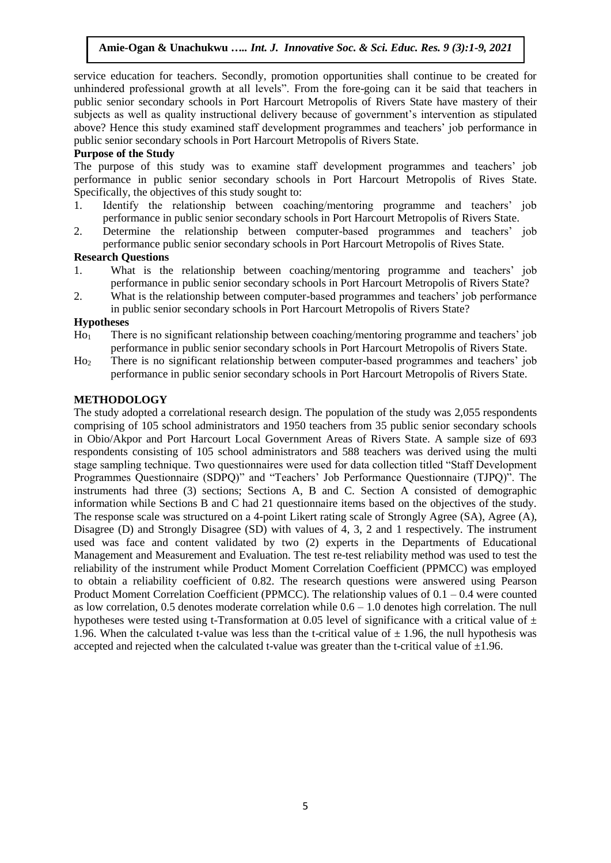service education for teachers. Secondly, promotion opportunities shall continue to be created for unhindered professional growth at all levels". From the fore-going can it be said that teachers in public senior secondary schools in Port Harcourt Metropolis of Rivers State have mastery of their subjects as well as quality instructional delivery because of government's intervention as stipulated above? Hence this study examined staff development programmes and teachers' job performance in public senior secondary schools in Port Harcourt Metropolis of Rivers State.

# **Purpose of the Study**

The purpose of this study was to examine staff development programmes and teachers' job performance in public senior secondary schools in Port Harcourt Metropolis of Rives State. Specifically, the objectives of this study sought to:

- 1. Identify the relationship between coaching/mentoring programme and teachers' job performance in public senior secondary schools in Port Harcourt Metropolis of Rivers State.
- 2. Determine the relationship between computer-based programmes and teachers' job performance public senior secondary schools in Port Harcourt Metropolis of Rives State.

# **Research Questions**

- 1. What is the relationship between coaching/mentoring programme and teachers' job performance in public senior secondary schools in Port Harcourt Metropolis of Rivers State?
- 2. What is the relationship between computer-based programmes and teachers' job performance in public senior secondary schools in Port Harcourt Metropolis of Rivers State?

#### **Hypotheses**

- Ho<sup>1</sup> There is no significant relationship between coaching/mentoring programme and teachers' job performance in public senior secondary schools in Port Harcourt Metropolis of Rivers State.
- Ho<sup>2</sup> There is no significant relationship between computer-based programmes and teachers' job performance in public senior secondary schools in Port Harcourt Metropolis of Rivers State.

#### **METHODOLOGY**

The study adopted a correlational research design. The population of the study was 2,055 respondents comprising of 105 school administrators and 1950 teachers from 35 public senior secondary schools in Obio/Akpor and Port Harcourt Local Government Areas of Rivers State. A sample size of 693 respondents consisting of 105 school administrators and 588 teachers was derived using the multi stage sampling technique. Two questionnaires were used for data collection titled "Staff Development Programmes Questionnaire (SDPQ)" and "Teachers' Job Performance Questionnaire (TJPQ)". The instruments had three (3) sections; Sections A, B and C. Section A consisted of demographic information while Sections B and C had 21 questionnaire items based on the objectives of the study. The response scale was structured on a 4-point Likert rating scale of Strongly Agree (SA), Agree (A), Disagree (D) and Strongly Disagree (SD) with values of 4, 3, 2 and 1 respectively. The instrument used was face and content validated by two (2) experts in the Departments of Educational Management and Measurement and Evaluation. The test re-test reliability method was used to test the reliability of the instrument while Product Moment Correlation Coefficient (PPMCC) was employed to obtain a reliability coefficient of 0.82. The research questions were answered using Pearson Product Moment Correlation Coefficient (PPMCC). The relationship values of 0.1 – 0.4 were counted as low correlation, 0.5 denotes moderate correlation while 0.6 – 1.0 denotes high correlation. The null hypotheses were tested using t-Transformation at 0.05 level of significance with a critical value of  $\pm$ 1.96. When the calculated t-value was less than the t-critical value of  $\pm$  1.96, the null hypothesis was accepted and rejected when the calculated t-value was greater than the t-critical value of  $\pm 1.96$ .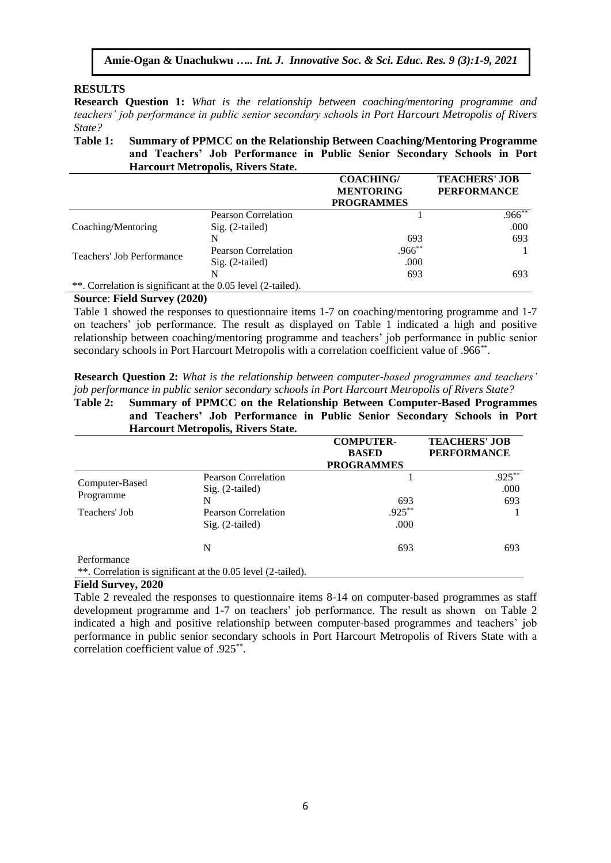# **RESULTS**

**Research Question 1:** *What is the relationship between coaching/mentoring programme and teachers' job performance in public senior secondary schools in Port Harcourt Metropolis of Rivers State?*

#### **Table 1: Summary of PPMCC on the Relationship Between Coaching/Mentoring Programme and Teachers' Job Performance in Public Senior Secondary Schools in Port Harcourt Metropolis, Rivers State.**

|                                                              |                            | <b>COACHING/</b>  | <b>TEACHERS' JOB</b> |
|--------------------------------------------------------------|----------------------------|-------------------|----------------------|
|                                                              |                            | <b>MENTORING</b>  | <b>PERFORMANCE</b>   |
|                                                              |                            | <b>PROGRAMMES</b> |                      |
|                                                              | <b>Pearson Correlation</b> |                   | $.966^{**}$          |
| Coaching/Mentoring                                           | $Sig. (2-tailed)$          |                   | .000                 |
|                                                              | N                          | 693               | 693                  |
| Teachers' Job Performance                                    | <b>Pearson Correlation</b> | $.966***$         |                      |
|                                                              | $Sig. (2-tailed)$          | .000              |                      |
|                                                              | N                          | 693               | 693                  |
| **. Correlation is significant at the 0.05 level (2-tailed). |                            |                   |                      |

# **Source**: **Field Survey (2020)**

Table 1 showed the responses to questionnaire items 1-7 on coaching/mentoring programme and 1-7 on teachers' job performance. The result as displayed on Table 1 indicated a high and positive relationship between coaching/mentoring programme and teachers' job performance in public senior secondary schools in Port Harcourt Metropolis with a correlation coefficient value of .966\*\*.

**Research Question 2:** *What is the relationship between computer-based programmes and teachers' job performance in public senior secondary schools in Port Harcourt Metropolis of Rivers State?*

## **Table 2: Summary of PPMCC on the Relationship Between Computer-Based Programmes and Teachers' Job Performance in Public Senior Secondary Schools in Port Harcourt Metropolis, Rivers State.**

|                             |                                                              | <b>COMPUTER-</b>  | <b>TEACHERS' JOB</b> |  |
|-----------------------------|--------------------------------------------------------------|-------------------|----------------------|--|
|                             |                                                              | <b>BASED</b>      | <b>PERFORMANCE</b>   |  |
|                             |                                                              | <b>PROGRAMMES</b> |                      |  |
|                             | <b>Pearson Correlation</b>                                   |                   | $.925***$            |  |
| Computer-Based<br>Programme | $Sig. (2-tailed)$                                            |                   | .000                 |  |
|                             | N                                                            | 693               | 693                  |  |
| Teachers' Job               | Pearson Correlation                                          | $.925***$         |                      |  |
|                             | $Sig. (2-tailed)$                                            | .000              |                      |  |
|                             | N                                                            | 693               | 693                  |  |
| Performance                 |                                                              |                   |                      |  |
|                             | **. Correlation is significant at the 0.05 level (2-tailed). |                   |                      |  |

## **Field Survey, 2020**

Table 2 revealed the responses to questionnaire items 8-14 on computer-based programmes as staff development programme and 1-7 on teachers' job performance. The result as shown on Table 2 indicated a high and positive relationship between computer-based programmes and teachers' job performance in public senior secondary schools in Port Harcourt Metropolis of Rivers State with a correlation coefficient value of .925\*\* .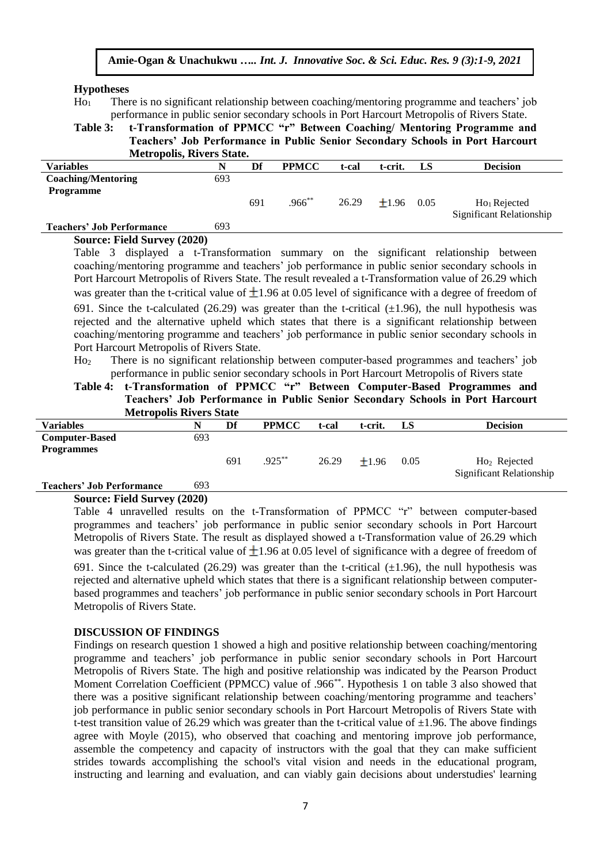#### **Hypotheses**

Ho<sup>1</sup> There is no significant relationship between coaching/mentoring programme and teachers' job performance in public senior secondary schools in Port Harcourt Metropolis of Rivers State.

**Table 3: t-Transformation of PPMCC "r" Between Coaching/ Mentoring Programme and Teachers' Job Performance in Public Senior Secondary Schools in Port Harcourt Metropolis, Rivers State.**

| week opomo, in vers state:       |     |     |              |       |         |      |                          |
|----------------------------------|-----|-----|--------------|-------|---------|------|--------------------------|
| <b>Variables</b>                 | N   | Df  | <b>PPMCC</b> | t-cal | t-crit. | LS   | <b>Decision</b>          |
| <b>Coaching/Mentoring</b>        | 693 |     |              |       |         |      |                          |
| <b>Programme</b>                 |     |     |              |       |         |      |                          |
|                                  |     | 691 | $.966***$    | 26.29 | $+1.96$ | 0.05 | $Ho1$ Rejected           |
|                                  |     |     |              |       |         |      | Significant Relationship |
| <b>Teachers' Job Performance</b> | 693 |     |              |       |         |      |                          |

#### **Source: Field Survey (2020)**

Table 3 displayed a t-Transformation summary on the significant relationship between coaching/mentoring programme and teachers' job performance in public senior secondary schools in Port Harcourt Metropolis of Rivers State. The result revealed a t-Transformation value of 26.29 which was greater than the t-critical value of  $\pm 1.96$  at 0.05 level of significance with a degree of freedom of 691. Since the t-calculated (26.29) was greater than the t-critical  $(\pm 1.96)$ , the null hypothesis was rejected and the alternative upheld which states that there is a significant relationship between coaching/mentoring programme and teachers' job performance in public senior secondary schools in Port Harcourt Metropolis of Rivers State.

Ho<sup>2</sup> There is no significant relationship between computer-based programmes and teachers' job performance in public senior secondary schools in Port Harcourt Metropolis of Rivers state

**Table 4: t-Transformation of PPMCC "r" Between Computer-Based Programmes and Teachers' Job Performance in Public Senior Secondary Schools in Port Harcourt Metropolis Rivers State**

| with opons in this state         |     |     |              |       |         |      |                          |
|----------------------------------|-----|-----|--------------|-------|---------|------|--------------------------|
| Variables                        | N   | Df  | <b>PPMCC</b> | t-cal | t-crit. | LS   | <b>Decision</b>          |
| <b>Computer-Based</b>            | 693 |     |              |       |         |      |                          |
| <b>Programmes</b>                |     |     |              |       |         |      |                          |
|                                  |     | 691 | $.925***$    | 26.29 | $+1.96$ | 0.05 | $Ho2$ Rejected           |
|                                  |     |     |              |       |         |      | Significant Relationship |
| <b>Teachers' Job Performance</b> | 693 |     |              |       |         |      |                          |

#### **Source: Field Survey (2020)**

Table 4 unravelled results on the t-Transformation of PPMCC "r" between computer-based programmes and teachers' job performance in public senior secondary schools in Port Harcourt Metropolis of Rivers State. The result as displayed showed a t-Transformation value of 26.29 which was greater than the t-critical value of  $\pm 1.96$  at 0.05 level of significance with a degree of freedom of 691. Since the t-calculated (26.29) was greater than the t-critical  $(\pm 1.96)$ , the null hypothesis was rejected and alternative upheld which states that there is a significant relationship between computerbased programmes and teachers' job performance in public senior secondary schools in Port Harcourt Metropolis of Rivers State.

#### **DISCUSSION OF FINDINGS**

Findings on research question 1 showed a high and positive relationship between coaching/mentoring programme and teachers' job performance in public senior secondary schools in Port Harcourt Metropolis of Rivers State. The high and positive relationship was indicated by the Pearson Product Moment Correlation Coefficient (PPMCC) value of .966\*\*. Hypothesis 1 on table 3 also showed that there was a positive significant relationship between coaching/mentoring programme and teachers' job performance in public senior secondary schools in Port Harcourt Metropolis of Rivers State with t-test transition value of 26.29 which was greater than the t-critical value of  $\pm 1.96$ . The above findings agree with Moyle (2015), who observed that coaching and mentoring improve job performance, assemble the competency and capacity of instructors with the goal that they can make sufficient strides towards accomplishing the school's vital vision and needs in the educational program, instructing and learning and evaluation, and can viably gain decisions about understudies' learning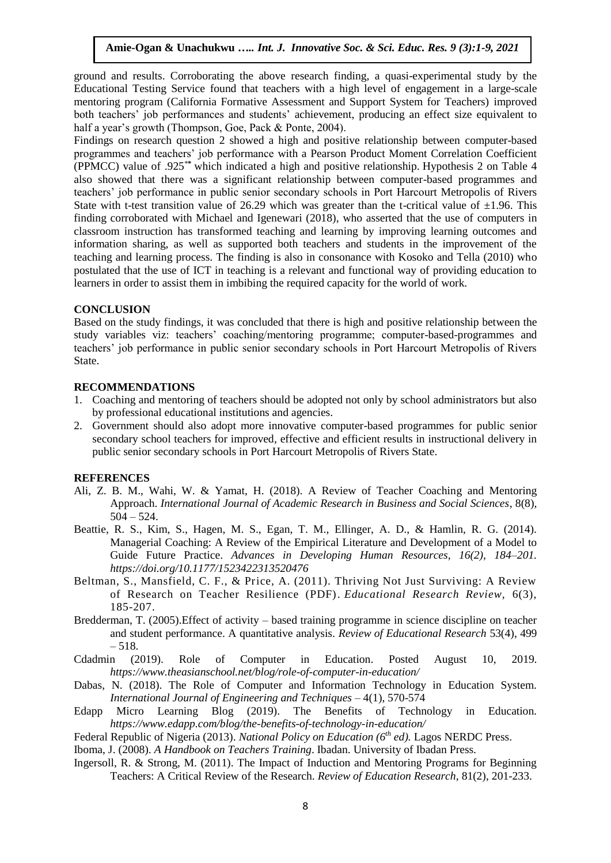ground and results. Corroborating the above research finding, a quasi-experimental study by the Educational Testing Service found that teachers with a high level of engagement in a large-scale mentoring program (California Formative Assessment and Support System for Teachers) improved both teachers' job performances and students' achievement, producing an effect size equivalent to half a year's growth (Thompson, Goe, Pack & Ponte, 2004).

Findings on research question 2 showed a high and positive relationship between computer-based programmes and teachers' job performance with a Pearson Product Moment Correlation Coefficient (PPMCC) value of .925\***\*** which indicated a high and positive relationship. Hypothesis 2 on Table 4 also showed that there was a significant relationship between computer-based programmes and teachers' job performance in public senior secondary schools in Port Harcourt Metropolis of Rivers State with t-test transition value of 26.29 which was greater than the t-critical value of  $\pm 1.96$ . This finding corroborated with Michael and Igenewari (2018), who asserted that the use of computers in classroom instruction has transformed teaching and learning by improving learning outcomes and information sharing, as well as supported both teachers and students in the improvement of the teaching and learning process. The finding is also in consonance with Kosoko and Tella (2010) who postulated that the use of ICT in teaching is a relevant and functional way of providing education to learners in order to assist them in imbibing the required capacity for the world of work.

# **CONCLUSION**

Based on the study findings, it was concluded that there is high and positive relationship between the study variables viz: teachers' coaching/mentoring programme; computer-based-programmes and teachers' job performance in public senior secondary schools in Port Harcourt Metropolis of Rivers State.

# **RECOMMENDATIONS**

- 1. Coaching and mentoring of teachers should be adopted not only by school administrators but also by professional educational institutions and agencies.
- 2. Government should also adopt more innovative computer-based programmes for public senior secondary school teachers for improved, effective and efficient results in instructional delivery in public senior secondary schools in Port Harcourt Metropolis of Rivers State.

#### **REFERENCES**

- Ali, Z. B. M., Wahi, W. & Yamat, H. (2018). A Review of Teacher Coaching and Mentoring Approach. *International Journal of Academic Research in Business and Social Sciences*, 8(8), 504 – 524.
- Beattie, R. S., Kim, S., Hagen, M. S., Egan, T. M., Ellinger, A. D., & Hamlin, R. G. (2014). Managerial Coaching: A Review of the Empirical Literature and Development of a Model to Guide Future Practice. *Advances in Developing Human Resources, 16(2), 184–201. <https://doi.org/10.1177/1523422313520476>*
- Beltman, S., Mansfield, C. F., & Price, A. (2011). [Thriving Not Just Surviving: A Review](http://researchrepository.murdoch.edu.au/5982/1/Beltman_et_al_paper_final_resubmission.pdf)  [of Research on Teacher Resilience \(PDF\).](http://researchrepository.murdoch.edu.au/5982/1/Beltman_et_al_paper_final_resubmission.pdf) *Educational Research Review,* 6(3), 185-207.
- Bredderman, T. (2005).Effect of activity based training programme in science discipline on teacher and student performance. A quantitative analysis. *Review of Educational Research* 53(4), 499 – 518.
- Cdadmin (2019). Role of Computer in Education. Posted August 10, 2019. *<https://www.theasianschool.net/blog/role-of-computer-in-education/>*
- Dabas, N. (2018). The Role of Computer and Information Technology in Education System. *International Journal of Engineering and Techniques* – 4(1), 570-574
- Edapp Micro Learning Blog (2019). The Benefits of Technology in Education. *https://www.edapp.com/blog/the-benefits-of-technology-in-education/*
- Federal Republic of Nigeria (2013). *National Policy on Education (6th ed).* Lagos NERDC Press.
- Iboma, J. (2008). *A Handbook on Teachers Training*. Ibadan. University of Ibadan Press.
- Ingersoll, R. & Strong, M. (2011). The Impact of Induction and Mentoring Programs for Beginning Teachers: A Critical Review of the Research. *Review of Education Research*, 81(2), 201-233.